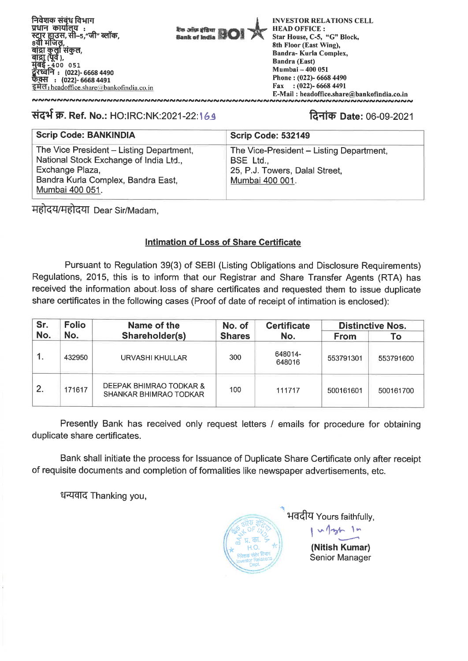निवेशक संबंध विभाग<br>प्रधान कार्यालय : . आर. ११००१<br>8वी मंजिल, l सकुल,<br>), **400 051 : (022)- 6668 4490 : (022)- 6668 4491**  इमेल: headoffice.share a bankofindia.co.in



**INVESTOR RELATIONS CELL HEAD OFFICE : Star House, C-5, "G" Block, 8th Floor (East Wing), Bandra- Kurla Complex, Bandra (East) Mumbai — 400 051 Phone : (022)- 6668 4490 Fax : (022)- 6668 4491 E-Mail : headoffice.share@bankofindia.co.in** 

## **tid4 क़. Ref. No.:** HO:IRC:NK:2021-22:169 **frame: 1980 farian Date:** 06-09-2021

**<br>~~~~~~~~~~~~~~~~~~~~~~~~~~~~~~~~~~~**~

| <b>Scrip Code: BANKINDIA</b>                                                                                                                                   | <b>Scrip Code: 532149</b>                                                                                  |
|----------------------------------------------------------------------------------------------------------------------------------------------------------------|------------------------------------------------------------------------------------------------------------|
| The Vice President - Listing Department,<br>National Stock Exchange of India Ltd.,<br>Exchange Plaza,<br>Bandra Kurla Complex, Bandra East,<br>Mumbai 400 051. | The Vice-President - Listing Department,<br>BSE Ltd.,<br>25, P.J. Towers, Dalal Street,<br>Mumbai 400 001. |

महोदय/महोदया Dear Sir/Madam,

### **Intimation of Loss of Share Certificate**

Pursuant to Regulation 39(3) of SEBI (Listing Obligations and Disclosure Requirements) Regulations, 2015, this is to inform that our Registrar and Share Transfer Agents (RTA) has received the information about loss of share certificates and requested them to issue duplicate share certificates in the following cases (Proof of date of receipt of intimation is enclosed):

| Sr.          | <b>Folio</b>          | Name of the                                       | No. of        | <b>Certificate</b> | <b>Distinctive Nos.</b> |           |  |
|--------------|-----------------------|---------------------------------------------------|---------------|--------------------|-------------------------|-----------|--|
| No.          | No.<br>Shareholder(s) |                                                   | <b>Shares</b> | No.                | <b>From</b>             | Τo        |  |
|              | 432950                | URVASHI KHULLAR                                   | 300           | 648014-<br>648016  | 553791301               | 553791600 |  |
| $\mathbf{2}$ | 171617                | DEEPAK BHIMRAO TODKAR &<br>SHANKAR BHIMRAO TODKAR | 100           | 111717             | 500161601               | 500161700 |  |

Presently Bank has received only request letters / emails for procedure for obtaining duplicate share certificates.

Bank shall initiate the process for Issuance of Duplicate Share Certificate only after receipt of requisite documents and completion of formalities like newspaper advertisements, etc.

ffzfdg Thanking you,

भवदीय Yours faithfully,  $21^{12}$ .<br>अफ़ इंदिर<br>अपने पर्द  $1<sub>m</sub>$ **11**  $*$  H.O. **(Nitish Kumar)**  संबंध Senior Manager or Relations Investor Relational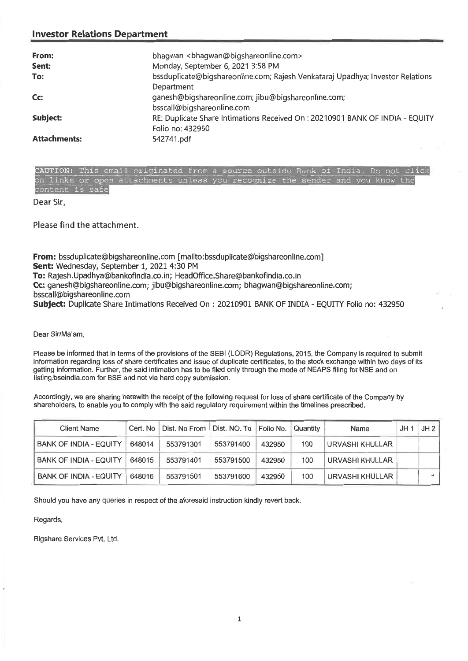#### **Investor Relations Department**

| From:               | bhagwan<br>bhagwan@bigshareonline.com>                                         |
|---------------------|--------------------------------------------------------------------------------|
| Sent:               | Monday, September 6, 2021 3:58 PM                                              |
| To:                 | bssduplicate@bigshareonline.com; Rajesh Venkataraj Upadhya; Investor Relations |
|                     | Department                                                                     |
| C <sub>C</sub>      | ganesh@bigshareonline.com; jibu@bigshareonline.com;                            |
|                     | bsscall@bigshareonline.com                                                     |
| Subject:            | RE: Duplicate Share Intimations Received On: 20210901 BANK OF INDIA - EQUITY   |
|                     | Folio no: 432950                                                               |
| <b>Attachments:</b> | 542741.pdf                                                                     |

|                 |  | CAUTION: This email originated from a source outside Bank of India. Do not click<br>the contract that were controlled and control to the control of the control of the control of the control of the control of the control of the control of the control of the control of the control of the control of the cont |  |  |  |  |  |
|-----------------|--|--------------------------------------------------------------------------------------------------------------------------------------------------------------------------------------------------------------------------------------------------------------------------------------------------------------------|--|--|--|--|--|
|                 |  | on links or open attachments unless you recognize the sender and you know the                                                                                                                                                                                                                                      |  |  |  |  |  |
| content is safe |  |                                                                                                                                                                                                                                                                                                                    |  |  |  |  |  |

Dear Sir,

Please find the attachment.

**From:** bssduplicate@bigshareonline.com [mailto:bssduplicate@bigshareonline.com] **Sent:** Wednesday, September 1, 2021 4:30 PM **To:** Rajesh.Upadhya@bankofindia.co.in; HeadOffice.Share@bankofindia.co.in **Cc:** ganesh@bigshareonline.com; jibu@bigshareonline.com; bhagwan@bigshareonline.com; bsscall@bigshareonline.com **Subject:** Duplicate Share Intimations Received On : 20210901 BANK OF INDIA - EQUITY Folio no: 432950

Dear Sir/Ma'am,

Please be informed that in terms of the provisions of the SEBI (LODR) Regulations, 2015, the Company is required to submit information regarding loss of share certificates and issue of duplicate certificates, to the stock exchange within two days of its getting information. Further, the said intimation has to be filed only through the mode of NEAPS filing for NSE and on listing.bseindia.com for BSE and not via hard copy submission.

Accordingly, we are sharing herewith the receipt of the following request for loss of share certificate of the Company by shareholders, to enable you to comply with the said regulatory requirement within the timelines prescribed.

| <b>Client Name</b>            |        | Cert. No   Dist. No From | Dist. NO. To   Folio No. |        | Quantity | Name            | JH 1 | JH2 |
|-------------------------------|--------|--------------------------|--------------------------|--------|----------|-----------------|------|-----|
| <b>BANK OF INDIA - EQUITY</b> | 648014 | 553791301                | 553791400                | 432950 | 100      | URVASHI KHULLAR |      |     |
| <b>BANK OF INDIA - EQUITY</b> | 648015 | 553791401                | 553791500                | 432950 | 100      | URVASHI KHULLAR |      |     |
| <b>BANK OF INDIA - EQUITY</b> | 648016 | 553791501                | 553791600                | 432950 | 100      | URVASHI KHULLAR |      |     |

**Should you have any queries in respect of the aforesaid instruction kindly revert back.** 

#### **Regards,**

**Bigshare Services Pvt. Ltd.**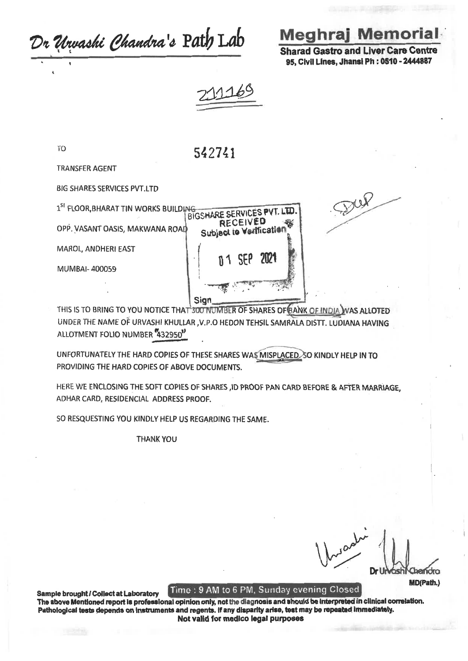Dr Urvashi Chandra's Path Lab

# **Meghraj Memorial**

**Sharad Gastro and Liver Care Centre** 95. Civil Lines. Jhansi Ph: 0510 - 2444887

Dup

BIGSHARE SERVICES PVT. LTD **RECEIVED** 

Subject to Varification

**SEP** 

**7171** 

**TO** 

542741

**TRANSFER AGENT** 

**BIG SHARES SERVICES PVT.LTD** 

1<sup>SI</sup> FLOOR, BHARAT TIN WORKS BUILDING

OPP. VASANT OASIS, MAKWANA ROAD

MAROL, ANDHERI EAST

MUMBAI-400059

Sian THIS IS TO BRING TO YOU NOTICE THAT 300 NUMBER OF SHARES OF BANK OF INDIA WAS ALLOTED UNDER THE NAME OF URVASHI KHULLAR , V.P.O HEDON TEHSIL SAMRALA DISTT. LUDIANA HAVING ALLOTMENT FOLIO NUMBER 432950"

UNFORTUNATELY THE HARD COPIES OF THESE SHARES WAS MISPLACED SO KINDLY HELP IN TO PROVIDING THE HARD COPIES OF ABOVE DOCUMENTS.

HERE WE ENCLOSING THE SOFT COPIES OF SHARES, ID PROOF PAN CARD BEFORE & AFTER MARRIAGE, ADHAR CARD, RESIDENCIAL ADDRESS PROOF.

SO RESQUESTING YOU KINDLY HELP US REGARDING THE SAME.

**THANK YOU** 

MD(Path.)

Time: 9 AM to 6 PM, Sunday evening Closed

Sample brought / Collect at Laboratory The above Mentioned report is professional opinion only, not the diagnosis and should be interpreted in clinical correlation. Pathological tests depends on instruments and regents. If any disparity arise, test may be repeated immediately. Not valid for medico legal purposes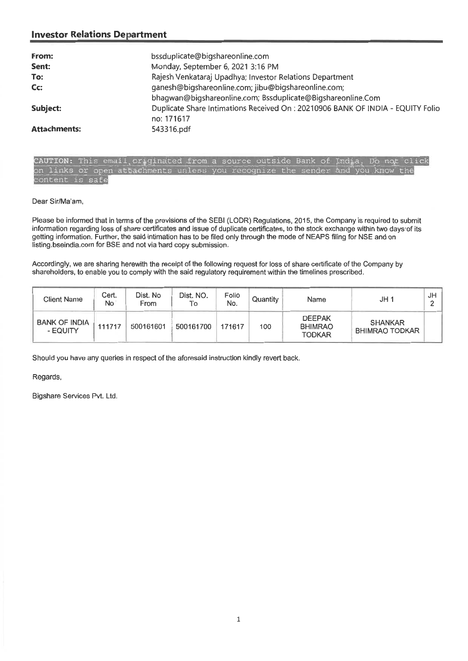#### **Investor Relations Department**

| From:               | bssduplicate@bigshareonline.com                                                 |
|---------------------|---------------------------------------------------------------------------------|
| Sent:               | Monday, September 6, 2021 3:16 PM                                               |
| To:                 | Rajesh Venkataraj Upadhya; Investor Relations Department                        |
| Cc:                 | ganesh@bigshareonline.com; jibu@bigshareonline.com;                             |
|                     | bhagwan@bigshareonline.com; Bssduplicate@Bigshareonline.Com                     |
| Subject:            | Duplicate Share Intimations Received On : 20210906 BANK OF INDIA - EQUITY Folio |
|                     | no: 171617                                                                      |
| <b>Attachments:</b> | 543316.pdf                                                                      |

CAUTION: This email originated from a source outside Bank of India. Do not click on links or open attachments unless you recognize the sender and you know the content is safe

Dear Sir/Ma'am,

Please be informed that in terms of the previsions of the SEBI (LODR) Regulations, 2015, the Company is required to submit information regarding loss of share certificates and issue of duplicate certificates, to the stock exchange within two days of its getting information. Further, the said intimation has to be filed only through the mode of NEAPS filing for NSE and on listing.bseindia.com for BSE and not via hard copy submission.

Accordingly, we are sharing herewith the receipt of the following request for loss of share certificate of the Company by shareholders, to enable you to comply with the said regulatory requirement within the timelines prescribed.

| <b>Client Name</b>               | Cert.<br>No | Dist. No<br>From | Dist. NO.<br>To | Folio<br>No. | Quantity | Name                                             | JH <sub>1</sub>                         | JH |
|----------------------------------|-------------|------------------|-----------------|--------------|----------|--------------------------------------------------|-----------------------------------------|----|
| <b>BANK OF INDIA</b><br>- EQUITY | 111717      | 500161601        | 500161700       | 171617       | 100      | <b>DEEPAK</b><br><b>BHIMRAO</b><br><b>TODKAR</b> | <b>SHANKAR</b><br><b>BHIMRAO TODKAR</b> |    |

Should you have any queries in respect of the aforesaid instruction kindly revert back.

Regards,

Bigshare Services Pvt. Ltd.